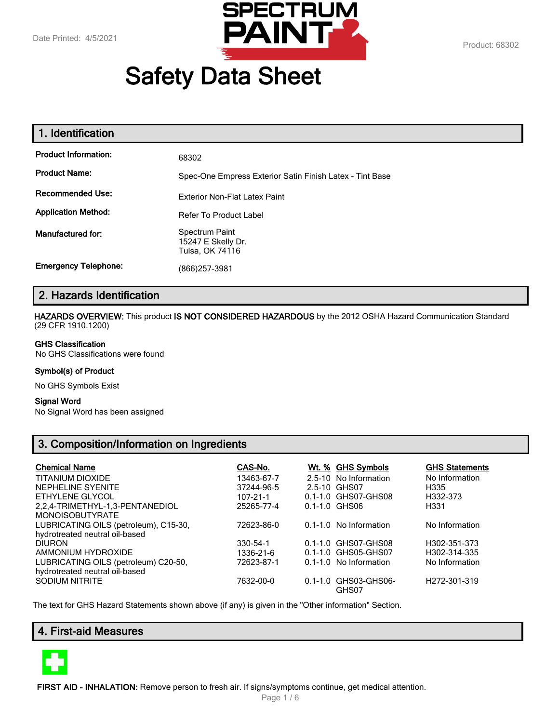

# **Safety Data Sheet**

| 1. Identification           |                                                          |
|-----------------------------|----------------------------------------------------------|
| <b>Product Information:</b> | 68302                                                    |
| <b>Product Name:</b>        | Spec-One Empress Exterior Satin Finish Latex - Tint Base |
| <b>Recommended Use:</b>     | <b>Exterior Non-Flat Latex Paint</b>                     |
| <b>Application Method:</b>  | <b>Refer To Product Label</b>                            |
| Manufactured for:           | Spectrum Paint<br>15247 E Skelly Dr.<br>Tulsa, OK 74116  |
| <b>Emergency Telephone:</b> | (866)257-3981                                            |

# **2. Hazards Identification**

**HAZARDS OVERVIEW:** This product **IS NOT CONSIDERED HAZARDOUS** by the 2012 OSHA Hazard Communication Standard (29 CFR 1910.1200)

#### **GHS Classification**

No GHS Classifications were found

## **Symbol(s) of Product**

No GHS Symbols Exist

#### **Signal Word**

No Signal Word has been assigned

# **3. Composition/Information on Ingredients**

| <b>Chemical Name</b>                  | CAS-No.    | <u>Wt. % GHS Symbols</u>      | <b>GHS Statements</b>     |
|---------------------------------------|------------|-------------------------------|---------------------------|
| <b>TITANIUM DIOXIDE</b>               | 13463-67-7 | 2.5-10 No Information         | No Information            |
| <b>NEPHELINE SYENITE</b>              | 37244-96-5 | 2.5-10 GHS07                  | H335                      |
| ETHYLENE GLYCOL                       | 107-21-1   | 0.1-1.0 GHS07-GHS08           | H332-373                  |
| 2.2.4-TRIMETHYL-1.3-PENTANEDIOL       | 25265-77-4 | $0.1 - 1.0$ GHS06             | H331                      |
| <b>MONOISOBUTYRATE</b>                |            |                               |                           |
| LUBRICATING OILS (petroleum), C15-30, | 72623-86-0 | 0.1-1.0 No Information        | No Information            |
| hydrotreated neutral oil-based        |            |                               |                           |
| <b>DIURON</b>                         | 330-54-1   | 0.1-1.0 GHS07-GHS08           | H302-351-373              |
| AMMONIUM HYDROXIDE                    | 1336-21-6  | 0.1-1.0 GHS05-GHS07           | H302-314-335              |
| LUBRICATING OILS (petroleum) C20-50,  | 72623-87-1 | 0.1-1.0 No Information        | No Information            |
| hydrotreated neutral oil-based        |            |                               |                           |
| SODIUM NITRITE                        | 7632-00-0  | 0.1-1.0 GHS03-GHS06-<br>GHS07 | H <sub>272</sub> -301-319 |

The text for GHS Hazard Statements shown above (if any) is given in the "Other information" Section.

## **4. First-aid Measures**



**FIRST AID - INHALATION:** Remove person to fresh air. If signs/symptoms continue, get medical attention.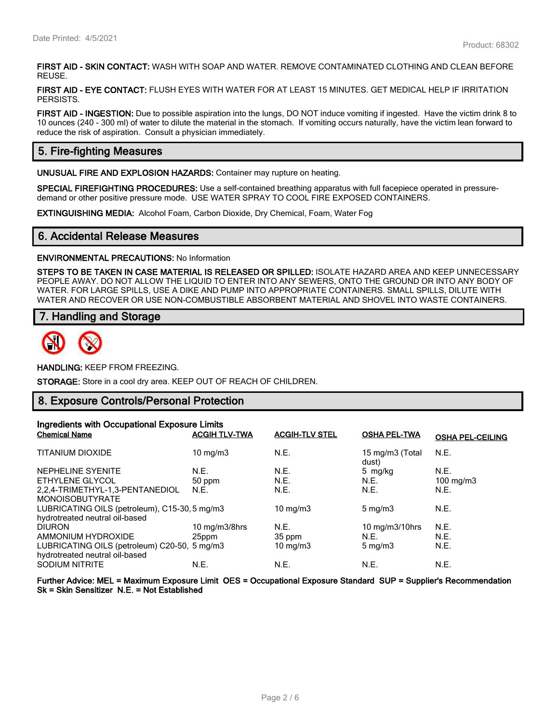**FIRST AID - SKIN CONTACT:** WASH WITH SOAP AND WATER. REMOVE CONTAMINATED CLOTHING AND CLEAN BEFORE REUSE.

**FIRST AID - EYE CONTACT:** FLUSH EYES WITH WATER FOR AT LEAST 15 MINUTES. GET MEDICAL HELP IF IRRITATION PERSISTS.

**FIRST AID - INGESTION:** Due to possible aspiration into the lungs, DO NOT induce vomiting if ingested. Have the victim drink 8 to 10 ounces (240 - 300 ml) of water to dilute the material in the stomach. If vomiting occurs naturally, have the victim lean forward to reduce the risk of aspiration. Consult a physician immediately.

## **5. Fire-fighting Measures**

**UNUSUAL FIRE AND EXPLOSION HAZARDS:** Container may rupture on heating.

**SPECIAL FIREFIGHTING PROCEDURES:** Use a self-contained breathing apparatus with full facepiece operated in pressuredemand or other positive pressure mode. USE WATER SPRAY TO COOL FIRE EXPOSED CONTAINERS.

**EXTINGUISHING MEDIA:** Alcohol Foam, Carbon Dioxide, Dry Chemical, Foam, Water Fog

## **6. Accidental Release Measures**

#### **ENVIRONMENTAL PRECAUTIONS:** No Information

**STEPS TO BE TAKEN IN CASE MATERIAL IS RELEASED OR SPILLED:** ISOLATE HAZARD AREA AND KEEP UNNECESSARY PEOPLE AWAY. DO NOT ALLOW THE LIQUID TO ENTER INTO ANY SEWERS, ONTO THE GROUND OR INTO ANY BODY OF WATER. FOR LARGE SPILLS, USE A DIKE AND PUMP INTO APPROPRIATE CONTAINERS. SMALL SPILLS, DILUTE WITH WATER AND RECOVER OR USE NON-COMBUSTIBLE ABSORBENT MATERIAL AND SHOVEL INTO WASTE CONTAINERS.

## **7. Handling and Storage**



**HANDLING:** KEEP FROM FREEZING.

**STORAGE:** Store in a cool dry area. KEEP OUT OF REACH OF CHILDREN.

## **8. Exposure Controls/Personal Protection**

| Ingredients with Occupational Exposure Limits |                      |                       |                              |                         |
|-----------------------------------------------|----------------------|-----------------------|------------------------------|-------------------------|
| <b>Chemical Name</b>                          | <b>ACGIH TLV-TWA</b> | <b>ACGIH-TLV STEL</b> | <b>OSHA PEL-TWA</b>          | <b>OSHA PEL-CEILING</b> |
| <b>TITANIUM DIOXIDE</b>                       | $10 \text{ mg/m}$    | N.E.                  | 15 mg/m3 (Total<br>dust)     | N.E.                    |
| NEPHELINE SYENITE                             | N.E.                 | N.E.                  | 5 mg/kg                      | N.E.                    |
| ETHYLENE GLYCOL                               | 50 ppm               | N.E.                  | N.E.                         | $100 \text{ mg/m}$ 3    |
| 2.2.4-TRIMETHYL-1.3-PENTANEDIOL               | N.E.                 | N.E.                  | N.E.                         | N.E.                    |
| <b>MONOISOBUTYRATE</b>                        |                      |                       |                              |                         |
| LUBRICATING OILS (petroleum), C15-30, 5 mg/m3 |                      | 10 mg/m $3$           | $5 \text{ mg/m}$             | N.E.                    |
| hydrotreated neutral oil-based                |                      |                       |                              |                         |
| <b>DIURON</b>                                 | 10 mg/m3/8hrs        | N.E.                  | $10 \text{ mg/m}$ $3/10$ hrs | N.E.                    |
| AMMONIUM HYDROXIDE                            | 25ppm                | 35 ppm                | N.E.                         | N.E.                    |
| LUBRICATING OILS (petroleum) C20-50, 5 mg/m3  |                      | $10$ mg/m $3$         | $5 \text{ mg/m}$             | N.E.                    |
| hydrotreated neutral oil-based                |                      |                       |                              |                         |
| <b>SODIUM NITRITE</b>                         | N.E.                 | N.E.                  | N.E.                         | N.E.                    |

**Further Advice: MEL = Maximum Exposure Limit OES = Occupational Exposure Standard SUP = Supplier's Recommendation Sk = Skin Sensitizer N.E. = Not Established**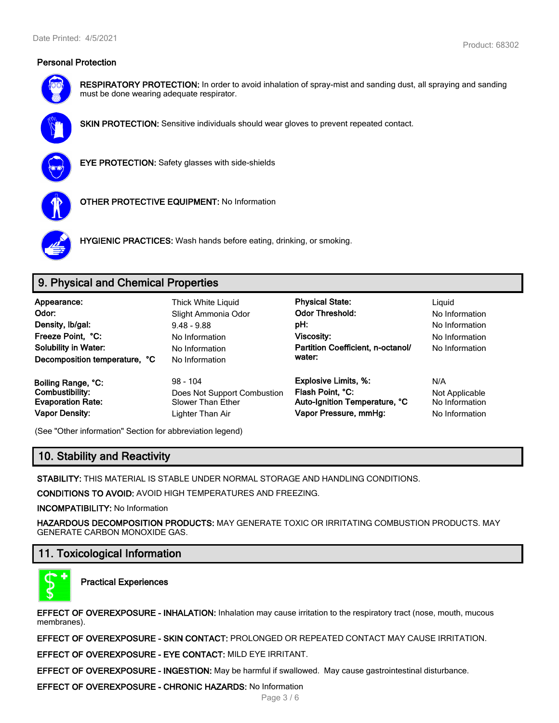

**RESPIRATORY PROTECTION:** In order to avoid inhalation of spray-mist and sanding dust, all spraying and sanding must be done wearing adequate respirator.



**SKIN PROTECTION:** Sensitive individuals should wear gloves to prevent repeated contact.



**EYE PROTECTION:** Safety glasses with side-shields



**OTHER PROTECTIVE EQUIPMENT:** No Information



**HYGIENIC PRACTICES:** Wash hands before eating, drinking, or smoking.

# **9. Physical and Chemical Properties**

| Appearance:<br>Odor:<br>Density, Ib/gal:<br>Freeze Point, °C:<br><b>Solubility in Water:</b><br>Decomposition temperature, °C | <b>Thick White Liguid</b><br>Slight Ammonia Odor<br>$9.48 - 9.88$<br>No Information<br>No Information<br>No Information | <b>Physical State:</b><br><b>Odor Threshold:</b><br>pH:<br>Viscosity:<br>Partition Coefficient, n-octanol/<br>water: | Liguid<br>No Information<br>No Information<br>No Information<br>No Information |
|-------------------------------------------------------------------------------------------------------------------------------|-------------------------------------------------------------------------------------------------------------------------|----------------------------------------------------------------------------------------------------------------------|--------------------------------------------------------------------------------|
| Boiling Range, °C:                                                                                                            | $98 - 104$                                                                                                              | <b>Explosive Limits, %:</b>                                                                                          | N/A                                                                            |
| Combustibility:                                                                                                               | Does Not Support Combustion                                                                                             | Flash Point, °C:                                                                                                     | Not Applicable                                                                 |
| <b>Evaporation Rate:</b>                                                                                                      | <b>Slower Than Ether</b>                                                                                                | Auto-Ignition Temperature, °C                                                                                        | No Information                                                                 |
| <b>Vapor Density:</b>                                                                                                         | Lighter Than Air                                                                                                        | Vapor Pressure, mmHg:                                                                                                | No Information                                                                 |

(See "Other information" Section for abbreviation legend)

# **10. Stability and Reactivity**

**STABILITY:** THIS MATERIAL IS STABLE UNDER NORMAL STORAGE AND HANDLING CONDITIONS.

**CONDITIONS TO AVOID:** AVOID HIGH TEMPERATURES AND FREEZING.

**INCOMPATIBILITY:** No Information

**HAZARDOUS DECOMPOSITION PRODUCTS:** MAY GENERATE TOXIC OR IRRITATING COMBUSTION PRODUCTS. MAY GENERATE CARBON MONOXIDE GAS.

# **11. Toxicological Information**



**Practical Experiences**

**EFFECT OF OVEREXPOSURE - INHALATION:** Inhalation may cause irritation to the respiratory tract (nose, mouth, mucous membranes).

**EFFECT OF OVEREXPOSURE - SKIN CONTACT:** PROLONGED OR REPEATED CONTACT MAY CAUSE IRRITATION.

**EFFECT OF OVEREXPOSURE - EYE CONTACT:** MILD EYE IRRITANT.

**EFFECT OF OVEREXPOSURE - INGESTION:** May be harmful if swallowed. May cause gastrointestinal disturbance.

**EFFECT OF OVEREXPOSURE - CHRONIC HAZARDS:** No Information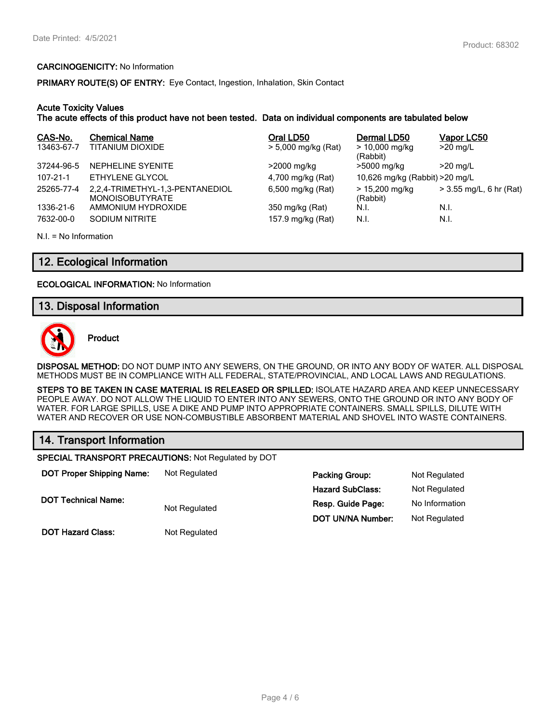#### **CARCINOGENICITY:** No Information

**PRIMARY ROUTE(S) OF ENTRY:** Eye Contact, Ingestion, Inhalation, Skin Contact

#### **Acute Toxicity Values**

**The acute effects of this product have not been tested. Data on individual components are tabulated below**

| CAS-No.        | <b>Chemical Name</b>                                      | Oral LD50           | Dermal LD50                     | Vapor LC50              |
|----------------|-----------------------------------------------------------|---------------------|---------------------------------|-------------------------|
| 13463-67-7     | TITANIUM DIOXIDE                                          | > 5,000 mg/kg (Rat) | $> 10,000$ mg/kg<br>(Rabbit)    | $>20$ mg/L              |
| 37244-96-5     | NEPHELINE SYENITE                                         | >2000 mg/kg         | >5000 mg/kg                     | $>20$ mg/L              |
| $107 - 21 - 1$ | ETHYLENE GLYCOL                                           | 4,700 mg/kg (Rat)   | 10,626 mg/kg (Rabbit) > 20 mg/L |                         |
| 25265-77-4     | 2,2,4-TRIMETHYL-1,3-PENTANEDIOL<br><b>MONOISOBUTYRATE</b> | 6,500 mg/kg (Rat)   | $> 15,200$ mg/kg<br>(Rabbit)    | > 3.55 mg/L, 6 hr (Rat) |
| 1336-21-6      | AMMONIUM HYDROXIDE                                        | 350 mg/kg (Rat)     | N.I.                            | N.I.                    |
| 7632-00-0      | SODIUM NITRITE                                            | 157.9 mg/kg (Rat)   | N.I.                            | N.I.                    |

N.I. = No Information

## **12. Ecological Information**

**ECOLOGICAL INFORMATION:** No Information

## **13. Disposal Information**



**Product**

**DISPOSAL METHOD:** DO NOT DUMP INTO ANY SEWERS, ON THE GROUND, OR INTO ANY BODY OF WATER. ALL DISPOSAL METHODS MUST BE IN COMPLIANCE WITH ALL FEDERAL, STATE/PROVINCIAL, AND LOCAL LAWS AND REGULATIONS.

**STEPS TO BE TAKEN IN CASE MATERIAL IS RELEASED OR SPILLED:** ISOLATE HAZARD AREA AND KEEP UNNECESSARY PEOPLE AWAY. DO NOT ALLOW THE LIQUID TO ENTER INTO ANY SEWERS, ONTO THE GROUND OR INTO ANY BODY OF WATER. FOR LARGE SPILLS, USE A DIKE AND PUMP INTO APPROPRIATE CONTAINERS. SMALL SPILLS, DILUTE WITH WATER AND RECOVER OR USE NON-COMBUSTIBLE ABSORBENT MATERIAL AND SHOVEL INTO WASTE CONTAINERS.

## **14. Transport Information**

**SPECIAL TRANSPORT PRECAUTIONS:** Not Regulated by DOT

| <b>DOT Proper Shipping Name:</b> | Not Regulated | <b>Packing Group:</b>   | Not Regulated  |
|----------------------------------|---------------|-------------------------|----------------|
|                                  |               | <b>Hazard SubClass:</b> | Not Regulated  |
| <b>DOT Technical Name:</b>       | Not Regulated | Resp. Guide Page:       | No Information |
|                                  |               | DOT UN/NA Number:       | Not Regulated  |
| <b>DOT Hazard Class:</b>         | Not Regulated |                         |                |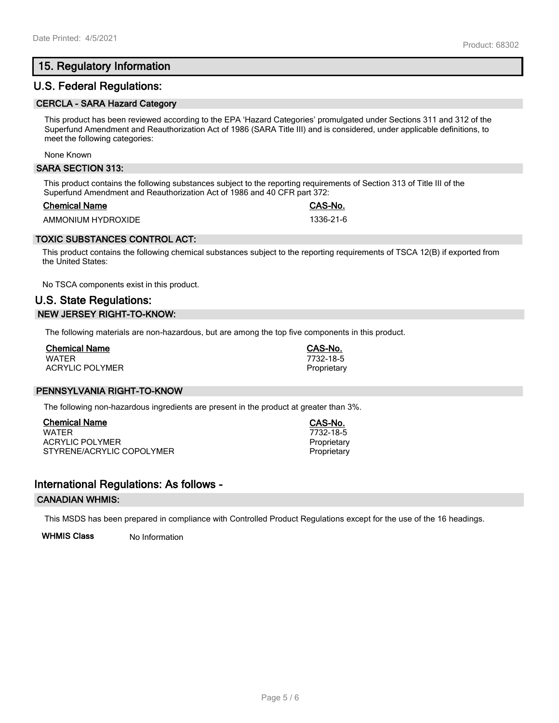# **15. Regulatory Information**

## **U.S. Federal Regulations:**

#### **CERCLA - SARA Hazard Category**

This product has been reviewed according to the EPA 'Hazard Categories' promulgated under Sections 311 and 312 of the Superfund Amendment and Reauthorization Act of 1986 (SARA Title III) and is considered, under applicable definitions, to meet the following categories:

None Known

#### **SARA SECTION 313:**

This product contains the following substances subject to the reporting requirements of Section 313 of Title III of the Superfund Amendment and Reauthorization Act of 1986 and 40 CFR part 372:

#### **Chemical Name CAS-No.**

AMMONIUM HYDROXIDE 1336-21-6

## **TOXIC SUBSTANCES CONTROL ACT:**

This product contains the following chemical substances subject to the reporting requirements of TSCA 12(B) if exported from the United States:

No TSCA components exist in this product.

# **U.S. State Regulations: NEW JERSEY RIGHT-TO-KNOW:**

The following materials are non-hazardous, but are among the top five components in this product.

| <b>Chemical Name</b> |  |
|----------------------|--|
| <b>WATFR</b>         |  |
| ACRYLIC POLYMER      |  |

## **PENNSYLVANIA RIGHT-TO-KNOW**

The following non-hazardous ingredients are present in the product at greater than 3%.

**Chemical Name CAS-No.** ACRYLIC POLYMER **Proprietary** Proprietary STYRENE/ACRYLIC COPOLYMER **Proprietary** Proprietary

## **International Regulations: As follows -**

## **CANADIAN WHMIS:**

This MSDS has been prepared in compliance with Controlled Product Regulations except for the use of the 16 headings.

**WHMIS Class** No Information

WATER 7732-18-5 Proprietary

**Chemical Name CAS-No.**

WATER 7732-18-5